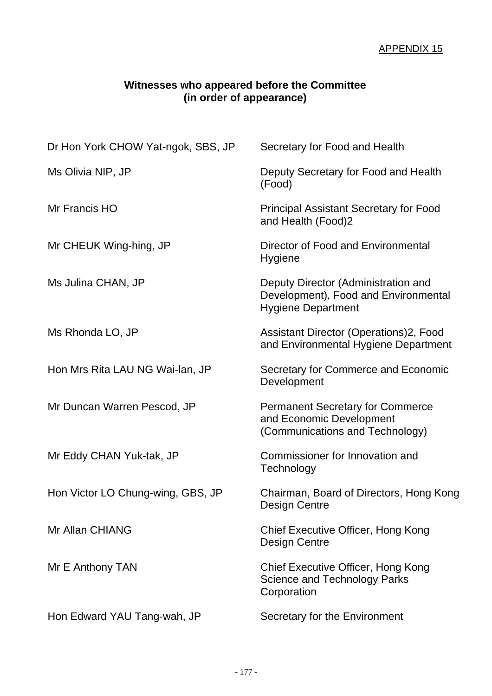## **Witnesses who appeared before the Committee (in order of appearance)**

| Dr Hon York CHOW Yat-ngok, SBS, JP | Secretary for Food and Health                                                                            |
|------------------------------------|----------------------------------------------------------------------------------------------------------|
| Ms Olivia NIP, JP                  | Deputy Secretary for Food and Health<br>(Food)                                                           |
| Mr Francis HO                      | <b>Principal Assistant Secretary for Food</b><br>and Health (Food)2                                      |
| Mr CHEUK Wing-hing, JP             | Director of Food and Environmental<br><b>Hygiene</b>                                                     |
| Ms Julina CHAN, JP                 | Deputy Director (Administration and<br>Development), Food and Environmental<br><b>Hygiene Department</b> |
| Ms Rhonda LO, JP                   | Assistant Director (Operations)2, Food<br>and Environmental Hygiene Department                           |
| Hon Mrs Rita LAU NG Wai-lan, JP    | Secretary for Commerce and Economic<br>Development                                                       |
| Mr Duncan Warren Pescod, JP        | <b>Permanent Secretary for Commerce</b><br>and Economic Development<br>(Communications and Technology)   |
| Mr Eddy CHAN Yuk-tak, JP           | Commissioner for Innovation and<br>Technology                                                            |
| Hon Victor LO Chung-wing, GBS, JP  | Chairman, Board of Directors, Hong Kong<br><b>Design Centre</b>                                          |
| Mr Allan CHIANG                    | Chief Executive Officer, Hong Kong<br><b>Design Centre</b>                                               |
| Mr E Anthony TAN                   | Chief Executive Officer, Hong Kong<br><b>Science and Technology Parks</b><br>Corporation                 |
| Hon Edward YAU Tang-wah, JP        | Secretary for the Environment                                                                            |